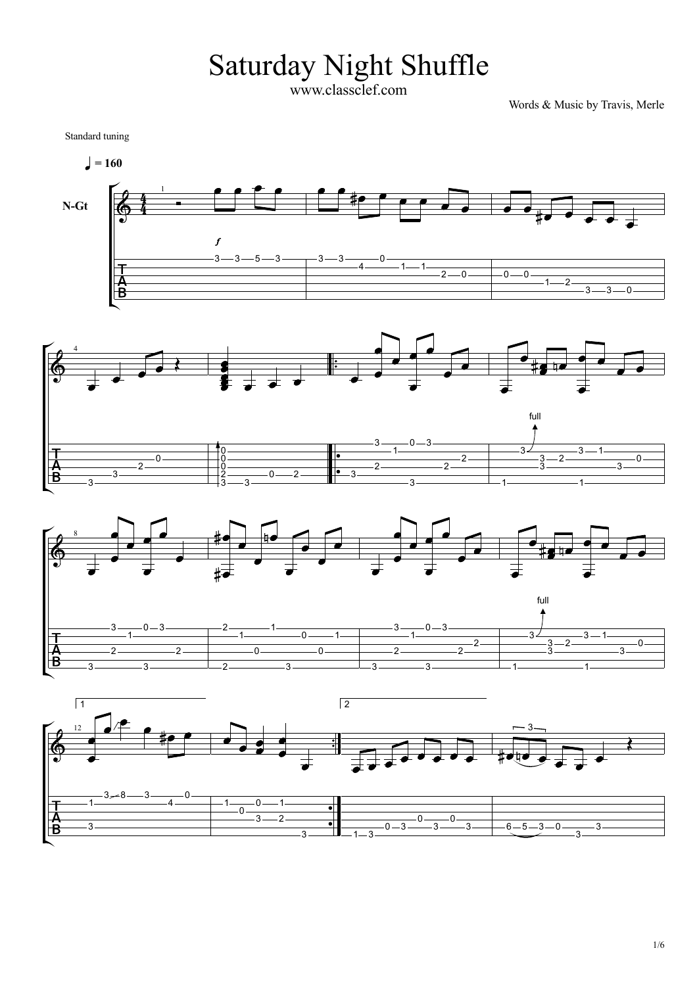Saturday Night Shuffle

www.classclef.com

Words & Music by Travis, Merle

Standard tuning

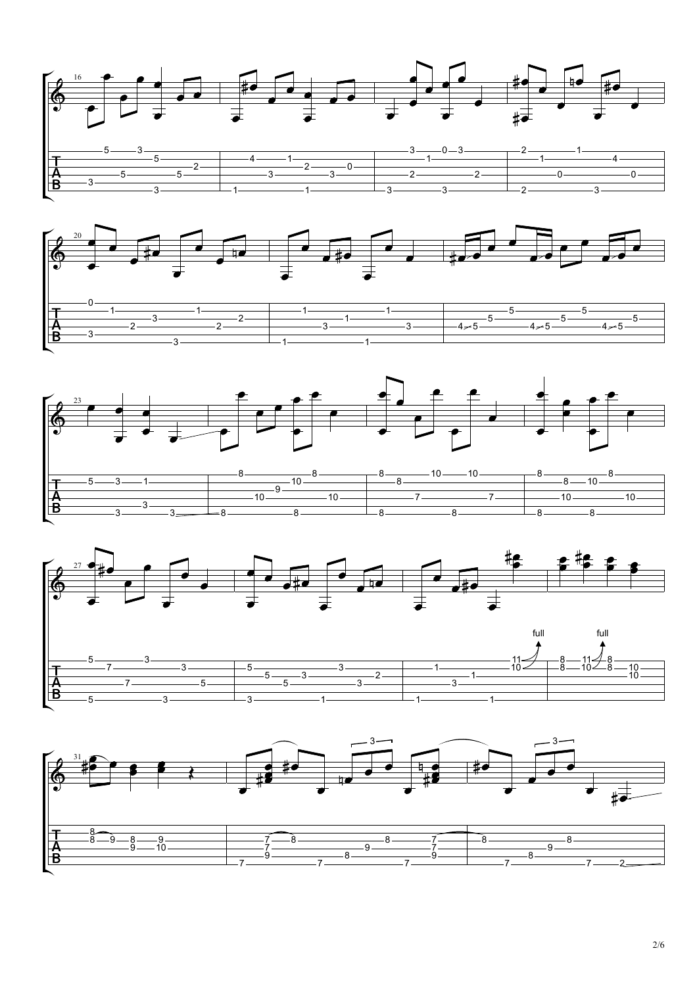









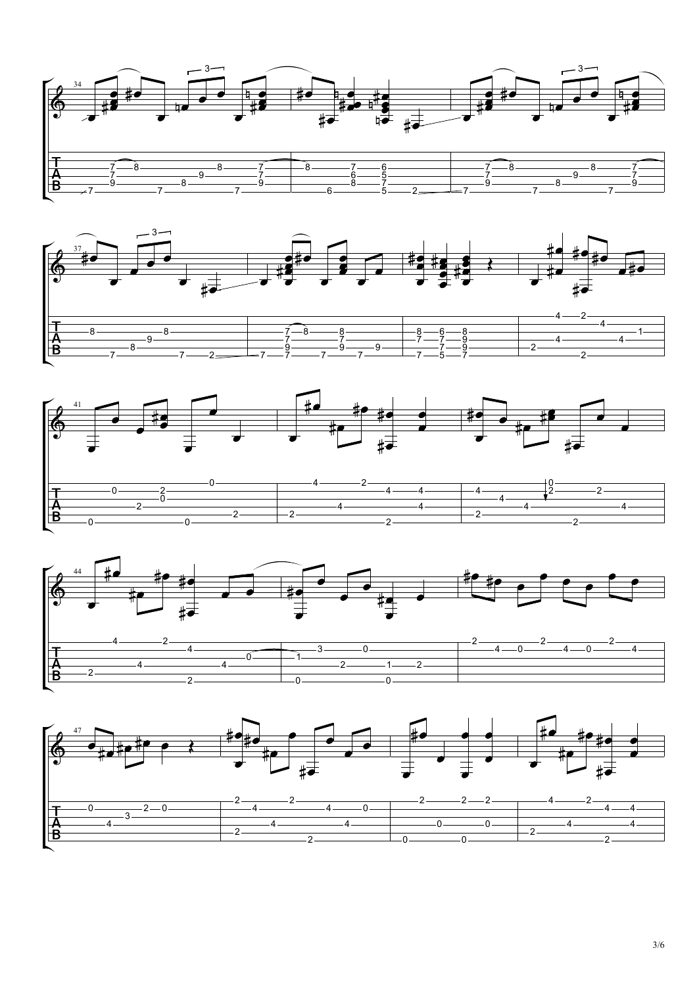







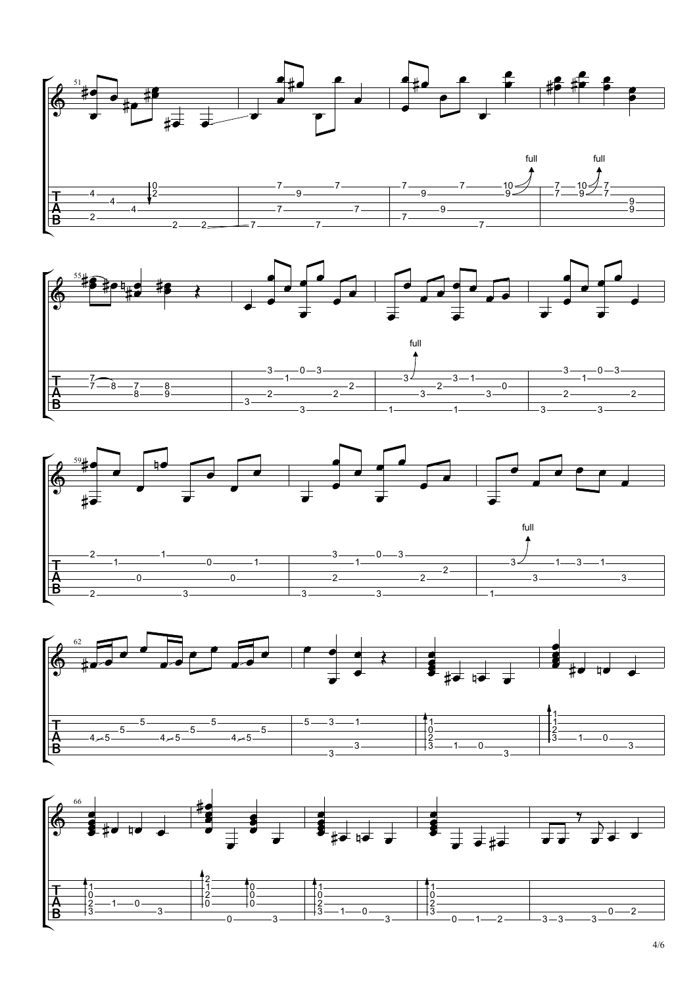







 $3 \longrightarrow 3$ 



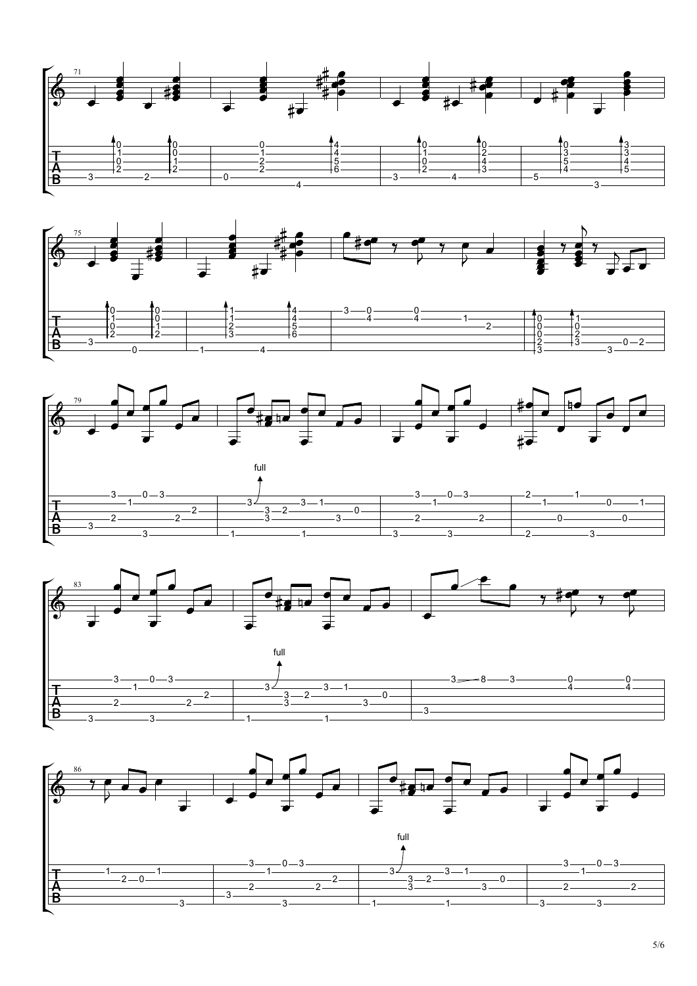





 $3 \longrightarrow 3 \longrightarrow$ 

— 2

 $2 \longrightarrow 3 \longrightarrow$ 

 $3 \overline{\phantom{1}}$ 

 $1$   $-$